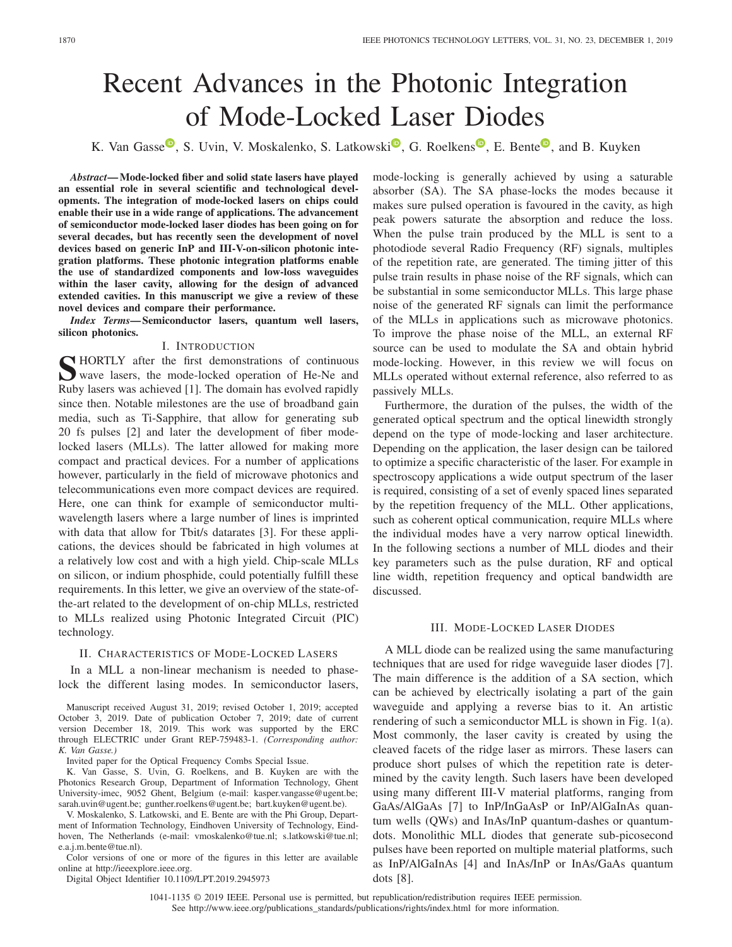# Recent Advances in the Photonic Integration of Mode-Locked Laser Diodes

K. Van Gass[e](https://orcid.org/0000-0001-5100-662X)<sup>®</sup>, S. Uv[i](https://orcid.org/0000-0003-4464-4097)n, V. Moskalenko, S. Latkowski<sup>®</sup>, G. Roelkens<sup>®</sup>, E. Bente®, and B. Kuyken

*Abstract***— Mode-locked fiber and solid state lasers have played an essential role in several scientific and technological developments. The integration of mode-locked lasers on chips could enable their use in a wide range of applications. The advancement of semiconductor mode-locked laser diodes has been going on for several decades, but has recently seen the development of novel devices based on generic InP and III-V-on-silicon photonic integration platforms. These photonic integration platforms enable the use of standardized components and low-loss waveguides within the laser cavity, allowing for the design of advanced extended cavities. In this manuscript we give a review of these novel devices and compare their performance.**

*Index Terms***— Semiconductor lasers, quantum well lasers, silicon photonics.**

# I. INTRODUCTION

**S**HORTLY after the first demonstrations of continuous<br>wave lasers, the mode-locked operation of He-Ne and Ruby lasers was achieved [1]. The domain has evolved rapidly since then. Notable milestones are the use of broadband gain media, such as Ti-Sapphire, that allow for generating sub 20 fs pulses [2] and later the development of fiber modelocked lasers (MLLs). The latter allowed for making more compact and practical devices. For a number of applications however, particularly in the field of microwave photonics and telecommunications even more compact devices are required. Here, one can think for example of semiconductor multiwavelength lasers where a large number of lines is imprinted with data that allow for Tbit/s datarates [3]. For these applications, the devices should be fabricated in high volumes at a relatively low cost and with a high yield. Chip-scale MLLs on silicon, or indium phosphide, could potentially fulfill these requirements. In this letter, we give an overview of the state-ofthe-art related to the development of on-chip MLLs, restricted to MLLs realized using Photonic Integrated Circuit (PIC) technology.

### II. CHARACTERISTICS OF MODE-LOCKED LASERS

In a MLL a non-linear mechanism is needed to phaselock the different lasing modes. In semiconductor lasers,

Manuscript received August 31, 2019; revised October 1, 2019; accepted October 3, 2019. Date of publication October 7, 2019; date of current version December 18, 2019. This work was supported by the ERC through ELECTRIC under Grant REP-759483-1. *(Corresponding author: K. Van Gasse.)*

Invited paper for the Optical Frequency Combs Special Issue.

K. Van Gasse, S. Uvin, G. Roelkens, and B. Kuyken are with the Photonics Research Group, Department of Information Technology, Ghent University-imec, 9052 Ghent, Belgium (e-mail: kasper.vangasse@ugent.be; sarah.uvin@ugent.be; gunther.roelkens@ugent.be; bart.kuyken@ugent.be).

V. Moskalenko, S. Latkowski, and E. Bente are with the Phi Group, Department of Information Technology, Eindhoven University of Technology, Eindhoven, The Netherlands (e-mail: vmoskalenko@tue.nl; s.latkowski@tue.nl; e.a.j.m.bente@tue.nl).

Color versions of one or more of the figures in this letter are available online at http://ieeexplore.ieee.org.

Digital Object Identifier 10.1109/LPT.2019.2945973

mode-locking is generally achieved by using a saturable absorber (SA). The SA phase-locks the modes because it makes sure pulsed operation is favoured in the cavity, as high peak powers saturate the absorption and reduce the loss. When the pulse train produced by the MLL is sent to a photodiode several Radio Frequency (RF) signals, multiples of the repetition rate, are generated. The timing jitter of this pulse train results in phase noise of the RF signals, which can be substantial in some semiconductor MLLs. This large phase noise of the generated RF signals can limit the performance of the MLLs in applications such as microwave photonics. To improve the phase noise of the MLL, an external RF source can be used to modulate the SA and obtain hybrid mode-locking. However, in this review we will focus on MLLs operated without external reference, also referred to as passively MLLs.

Furthermore, the duration of the pulses, the width of the generated optical spectrum and the optical linewidth strongly depend on the type of mode-locking and laser architecture. Depending on the application, the laser design can be tailored to optimize a specific characteristic of the laser. For example in spectroscopy applications a wide output spectrum of the laser is required, consisting of a set of evenly spaced lines separated by the repetition frequency of the MLL. Other applications, such as coherent optical communication, require MLLs where the individual modes have a very narrow optical linewidth. In the following sections a number of MLL diodes and their key parameters such as the pulse duration, RF and optical line width, repetition frequency and optical bandwidth are discussed.

#### III. MODE-LOCKED LASER DIODES

A MLL diode can be realized using the same manufacturing techniques that are used for ridge waveguide laser diodes [7]. The main difference is the addition of a SA section, which can be achieved by electrically isolating a part of the gain waveguide and applying a reverse bias to it. An artistic rendering of such a semiconductor MLL is shown in Fig. 1(a). Most commonly, the laser cavity is created by using the cleaved facets of the ridge laser as mirrors. These lasers can produce short pulses of which the repetition rate is determined by the cavity length. Such lasers have been developed using many different III-V material platforms, ranging from GaAs/AlGaAs [7] to InP/InGaAsP or InP/AlGaInAs quantum wells (QWs) and InAs/InP quantum-dashes or quantumdots. Monolithic MLL diodes that generate sub-picosecond pulses have been reported on multiple material platforms, such as InP/AlGaInAs [4] and InAs/InP or InAs/GaAs quantum dots [8].

1041-1135 © 2019 IEEE. Personal use is permitted, but republication/redistribution requires IEEE permission. See http://www.ieee.org/publications\_standards/publications/rights/index.html for more information.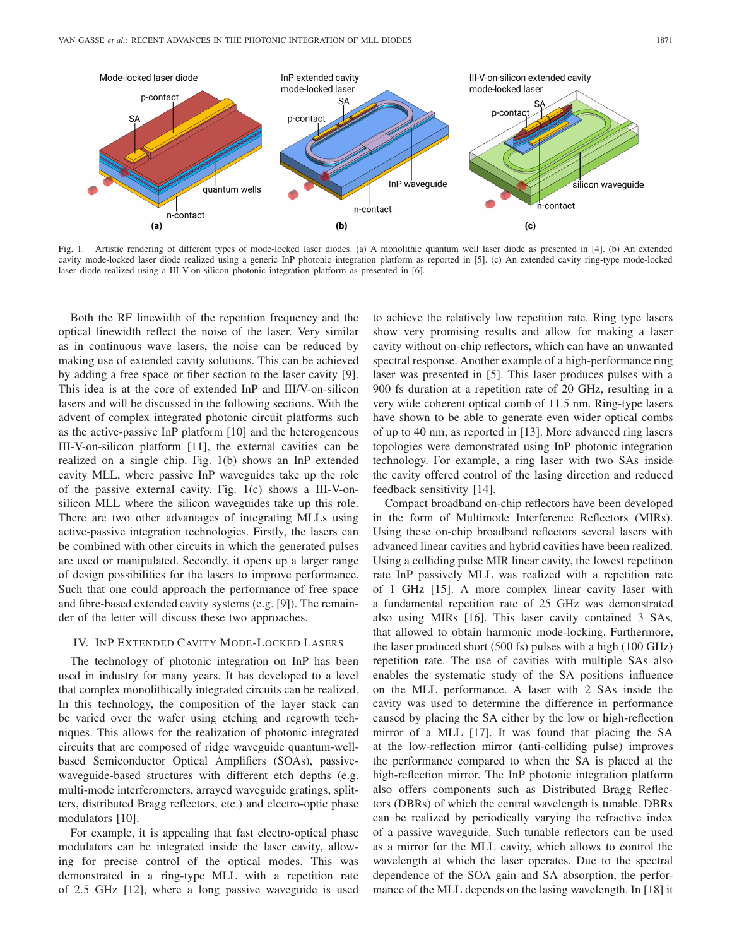

Fig. 1. Artistic rendering of different types of mode-locked laser diodes. (a) A monolithic quantum well laser diode as presented in [4]. (b) An extended cavity mode-locked laser diode realized using a generic InP photonic integration platform as reported in [5]. (c) An extended cavity ring-type mode-locked laser diode realized using a III-V-on-silicon photonic integration platform as presented in [6].

Both the RF linewidth of the repetition frequency and the optical linewidth reflect the noise of the laser. Very similar as in continuous wave lasers, the noise can be reduced by making use of extended cavity solutions. This can be achieved by adding a free space or fiber section to the laser cavity [9]. This idea is at the core of extended InP and III/V-on-silicon lasers and will be discussed in the following sections. With the advent of complex integrated photonic circuit platforms such as the active-passive InP platform [10] and the heterogeneous III-V-on-silicon platform [11], the external cavities can be realized on a single chip. Fig. 1(b) shows an InP extended cavity MLL, where passive InP waveguides take up the role of the passive external cavity. Fig. 1(c) shows a III-V-onsilicon MLL where the silicon waveguides take up this role. There are two other advantages of integrating MLLs using active-passive integration technologies. Firstly, the lasers can be combined with other circuits in which the generated pulses are used or manipulated. Secondly, it opens up a larger range of design possibilities for the lasers to improve performance. Such that one could approach the performance of free space and fibre-based extended cavity systems (e.g. [9]). The remainder of the letter will discuss these two approaches.

# IV. INP EXTENDED CAVITY MODE-LOCKED LASERS

The technology of photonic integration on InP has been used in industry for many years. It has developed to a level that complex monolithically integrated circuits can be realized. In this technology, the composition of the layer stack can be varied over the wafer using etching and regrowth techniques. This allows for the realization of photonic integrated circuits that are composed of ridge waveguide quantum-wellbased Semiconductor Optical Amplifiers (SOAs), passivewaveguide-based structures with different etch depths (e.g. multi-mode interferometers, arrayed waveguide gratings, splitters, distributed Bragg reflectors, etc.) and electro-optic phase modulators [10].

For example, it is appealing that fast electro-optical phase modulators can be integrated inside the laser cavity, allowing for precise control of the optical modes. This was demonstrated in a ring-type MLL with a repetition rate of 2.5 GHz [12], where a long passive waveguide is used to achieve the relatively low repetition rate. Ring type lasers show very promising results and allow for making a laser cavity without on-chip reflectors, which can have an unwanted spectral response. Another example of a high-performance ring laser was presented in [5]. This laser produces pulses with a 900 fs duration at a repetition rate of 20 GHz, resulting in a very wide coherent optical comb of 11.5 nm. Ring-type lasers have shown to be able to generate even wider optical combs of up to 40 nm, as reported in [13]. More advanced ring lasers topologies were demonstrated using InP photonic integration technology. For example, a ring laser with two SAs inside the cavity offered control of the lasing direction and reduced feedback sensitivity [14].

Compact broadband on-chip reflectors have been developed in the form of Multimode Interference Reflectors (MIRs). Using these on-chip broadband reflectors several lasers with advanced linear cavities and hybrid cavities have been realized. Using a colliding pulse MIR linear cavity, the lowest repetition rate InP passively MLL was realized with a repetition rate of 1 GHz [15]. A more complex linear cavity laser with a fundamental repetition rate of 25 GHz was demonstrated also using MIRs [16]. This laser cavity contained 3 SAs, that allowed to obtain harmonic mode-locking. Furthermore, the laser produced short (500 fs) pulses with a high (100 GHz) repetition rate. The use of cavities with multiple SAs also enables the systematic study of the SA positions influence on the MLL performance. A laser with 2 SAs inside the cavity was used to determine the difference in performance caused by placing the SA either by the low or high-reflection mirror of a MLL [17]. It was found that placing the SA at the low-reflection mirror (anti-colliding pulse) improves the performance compared to when the SA is placed at the high-reflection mirror. The InP photonic integration platform also offers components such as Distributed Bragg Reflectors (DBRs) of which the central wavelength is tunable. DBRs can be realized by periodically varying the refractive index of a passive waveguide. Such tunable reflectors can be used as a mirror for the MLL cavity, which allows to control the wavelength at which the laser operates. Due to the spectral dependence of the SOA gain and SA absorption, the performance of the MLL depends on the lasing wavelength. In [18] it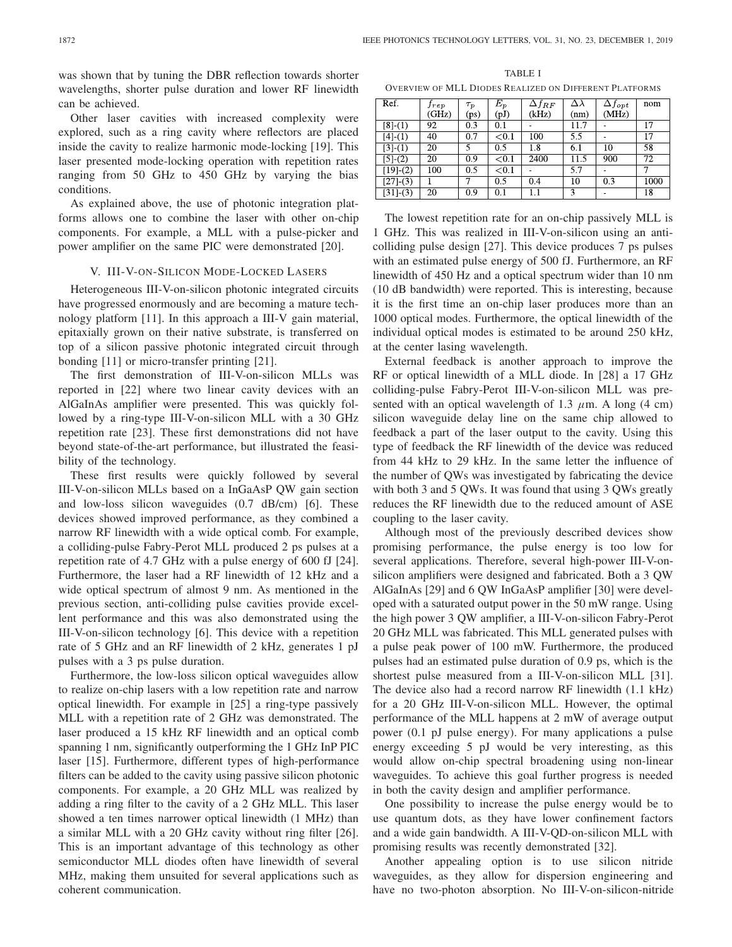was shown that by tuning the DBR reflection towards shorter wavelengths, shorter pulse duration and lower RF linewidth can be achieved.

Other laser cavities with increased complexity were explored, such as a ring cavity where reflectors are placed inside the cavity to realize harmonic mode-locking [19]. This laser presented mode-locking operation with repetition rates ranging from 50 GHz to 450 GHz by varying the bias conditions.

As explained above, the use of photonic integration platforms allows one to combine the laser with other on-chip components. For example, a MLL with a pulse-picker and power amplifier on the same PIC were demonstrated [20].

# V. III-V-ON-SILICON MODE-LOCKED LASERS

Heterogeneous III-V-on-silicon photonic integrated circuits have progressed enormously and are becoming a mature technology platform [11]. In this approach a III-V gain material, epitaxially grown on their native substrate, is transferred on top of a silicon passive photonic integrated circuit through bonding [11] or micro-transfer printing [21].

The first demonstration of III-V-on-silicon MLLs was reported in [22] where two linear cavity devices with an AlGaInAs amplifier were presented. This was quickly followed by a ring-type III-V-on-silicon MLL with a 30 GHz repetition rate [23]. These first demonstrations did not have beyond state-of-the-art performance, but illustrated the feasibility of the technology.

These first results were quickly followed by several III-V-on-silicon MLLs based on a InGaAsP QW gain section and low-loss silicon waveguides (0.7 dB/cm) [6]. These devices showed improved performance, as they combined a narrow RF linewidth with a wide optical comb. For example, a colliding-pulse Fabry-Perot MLL produced 2 ps pulses at a repetition rate of 4.7 GHz with a pulse energy of 600 fJ [24]. Furthermore, the laser had a RF linewidth of 12 kHz and a wide optical spectrum of almost 9 nm. As mentioned in the previous section, anti-colliding pulse cavities provide excellent performance and this was also demonstrated using the III-V-on-silicon technology [6]. This device with a repetition rate of 5 GHz and an RF linewidth of 2 kHz, generates 1 pJ pulses with a 3 ps pulse duration.

Furthermore, the low-loss silicon optical waveguides allow to realize on-chip lasers with a low repetition rate and narrow optical linewidth. For example in [25] a ring-type passively MLL with a repetition rate of 2 GHz was demonstrated. The laser produced a 15 kHz RF linewidth and an optical comb spanning 1 nm, significantly outperforming the 1 GHz InP PIC laser [15]. Furthermore, different types of high-performance filters can be added to the cavity using passive silicon photonic components. For example, a 20 GHz MLL was realized by adding a ring filter to the cavity of a 2 GHz MLL. This laser showed a ten times narrower optical linewidth (1 MHz) than a similar MLL with a 20 GHz cavity without ring filter [26]. This is an important advantage of this technology as other semiconductor MLL diodes often have linewidth of several MHz, making them unsuited for several applications such as coherent communication.

TABLE I OVERVIEW OF MLL DIODES REALIZED ON DIFFERENT PLATFORMS

| Ref.       | $_{Jrep}$ | $\tau_p$ | $E_{\mathcal{P}}$ | $\overline{\Delta f_{RF}}$ | $\Delta \lambda$ | $\Delta f_{opt}$ | nom  |
|------------|-----------|----------|-------------------|----------------------------|------------------|------------------|------|
|            | (GHz)     | (ps)     | (pJ)              | (kHz)                      | (nm)             | (MHz)            |      |
| $[8]-(1)$  | 92        | 0.3      | 0.1               |                            | 11.7             |                  | 17   |
| $[4]-(1)$  | 40        | 0.7      | $<$ 0.1           | 100                        | 5.5              |                  | 17   |
| $[3]-(1)$  | 20        | 5        | 0.5               | 1.8                        | 6.1              | 10               | 58   |
| $[5]-(2)$  | 20        | 0.9      | $<$ 0.1           | 2400                       | 11.5             | 900              | 72   |
| $[19]-(2)$ | 100       | 0.5      | ${<}0.1$          |                            | 5.7              |                  |      |
| $[27]-(3)$ |           |          | 0.5               | 0.4                        | 10               | 0.3              | 1000 |
| $[31]-(3)$ | 20        | 0.9      | 0.1               | 1.1                        | 3                |                  | 18   |

The lowest repetition rate for an on-chip passively MLL is 1 GHz. This was realized in III-V-on-silicon using an anticolliding pulse design [27]. This device produces 7 ps pulses with an estimated pulse energy of 500 fJ. Furthermore, an RF linewidth of 450 Hz and a optical spectrum wider than 10 nm (10 dB bandwidth) were reported. This is interesting, because it is the first time an on-chip laser produces more than an 1000 optical modes. Furthermore, the optical linewidth of the individual optical modes is estimated to be around 250 kHz, at the center lasing wavelength.

External feedback is another approach to improve the RF or optical linewidth of a MLL diode. In [28] a 17 GHz colliding-pulse Fabry-Perot III-V-on-silicon MLL was presented with an optical wavelength of 1.3  $\mu$ m. A long (4 cm) silicon waveguide delay line on the same chip allowed to feedback a part of the laser output to the cavity. Using this type of feedback the RF linewidth of the device was reduced from 44 kHz to 29 kHz. In the same letter the influence of the number of QWs was investigated by fabricating the device with both 3 and 5 OWs. It was found that using 3 OWs greatly reduces the RF linewidth due to the reduced amount of ASE coupling to the laser cavity.

Although most of the previously described devices show promising performance, the pulse energy is too low for several applications. Therefore, several high-power III-V-onsilicon amplifiers were designed and fabricated. Both a 3 QW AlGaInAs [29] and 6 QW InGaAsP amplifier [30] were developed with a saturated output power in the 50 mW range. Using the high power 3 QW amplifier, a III-V-on-silicon Fabry-Perot 20 GHz MLL was fabricated. This MLL generated pulses with a pulse peak power of 100 mW. Furthermore, the produced pulses had an estimated pulse duration of 0.9 ps, which is the shortest pulse measured from a III-V-on-silicon MLL [31]. The device also had a record narrow RF linewidth (1.1 kHz) for a 20 GHz III-V-on-silicon MLL. However, the optimal performance of the MLL happens at 2 mW of average output power (0.1 pJ pulse energy). For many applications a pulse energy exceeding 5 pJ would be very interesting, as this would allow on-chip spectral broadening using non-linear waveguides. To achieve this goal further progress is needed in both the cavity design and amplifier performance.

One possibility to increase the pulse energy would be to use quantum dots, as they have lower confinement factors and a wide gain bandwidth. A III-V-QD-on-silicon MLL with promising results was recently demonstrated [32].

Another appealing option is to use silicon nitride waveguides, as they allow for dispersion engineering and have no two-photon absorption. No III-V-on-silicon-nitride